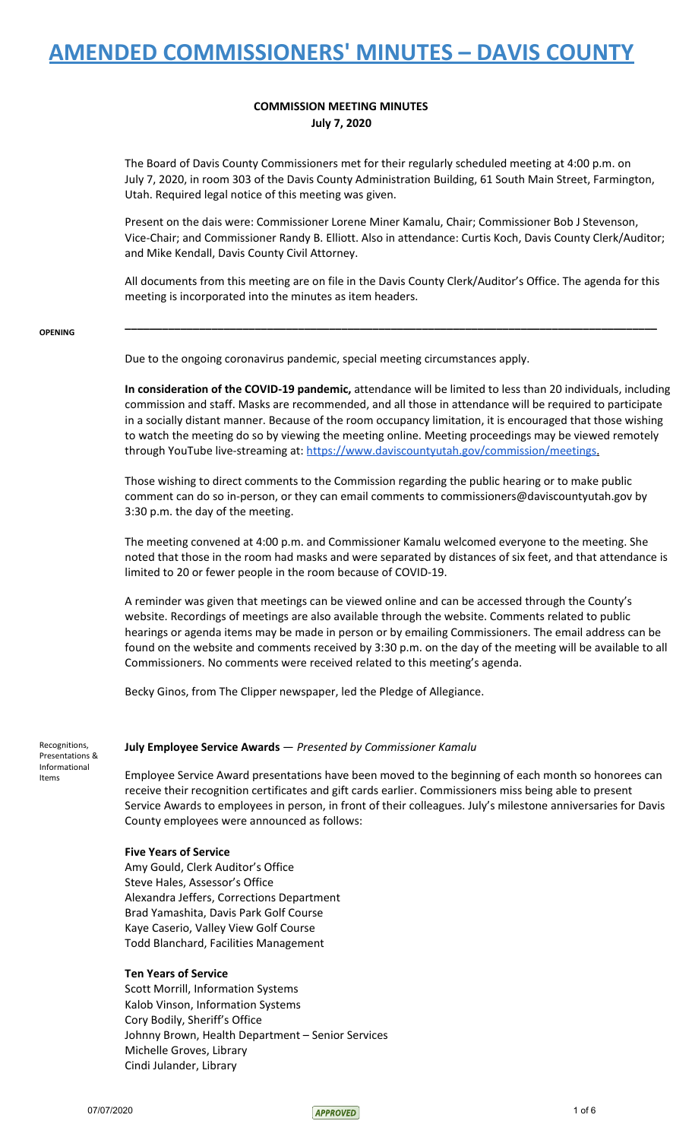### **COMMISSION MEETING MINUTES July 7, 2020**

The Board of Davis County Commissioners met for their regularly scheduled meeting at 4:00 p.m. on July 7, 2020, in room 303 of the Davis County Administration Building, 61 South Main Street, Farmington, Utah. Required legal notice of this meeting was given.

Present on the dais were: Commissioner Lorene Miner Kamalu, Chair; Commissioner Bob J Stevenson, Vice-Chair; and Commissioner Randy B. Elliott. Also in attendance: Curtis Koch, Davis County Clerk/Auditor; and Mike Kendall, Davis County Civil Attorney.

All documents from this meeting are on file in the Davis County Clerk/Auditor's Office. The agenda for this meeting is incorporated into the minutes as item headers.

**\_\_\_\_\_\_\_\_\_\_\_\_\_\_\_\_\_\_\_\_\_\_\_\_\_\_\_\_\_\_\_\_\_\_\_\_\_\_\_\_\_\_\_\_\_\_\_\_\_\_\_\_\_\_\_\_\_\_\_\_\_\_\_\_\_\_\_\_\_\_\_\_\_\_\_\_\_\_\_\_\_\_\_\_\_\_**

#### **OPENING**

Due to the ongoing coronavirus pandemic, special meeting circumstances apply.

**In consideration of the COVID-19 pandemic,** attendance will be limited to less than 20 individuals, including commission and staff. Masks are recommended, and all those in attendance will be required to participate in a socially distant manner. Because of the room occupancy limitation, it is encouraged that those wishing to watch the meeting do so by viewing the meeting online. Meeting proceedings may be viewed remotely through YouTube live-streaming at: [https://www.daviscountyutah.gov/commission/meetings.](https://www.daviscountyutah.gov/commission/meetings)

Those wishing to direct comments to the Commission regarding the public hearing or to make public comment can do so in-person, or they can email comments to commissioners@daviscountyutah.gov by 3:30 p.m. the day of the meeting.

The meeting convened at 4:00 p.m. and Commissioner Kamalu welcomed everyone to the meeting. She noted that those in the room had masks and were separated by distances of six feet, and that attendance is limited to 20 or fewer people in the room because of COVID-19.

A reminder was given that meetings can be viewed online and can be accessed through the County's website. Recordings of meetings are also available through the website. Comments related to public hearings or agenda items may be made in person or by emailing Commissioners. The email address can be found on the website and comments received by 3:30 p.m. on the day of the meeting will be available to all Commissioners. No comments were received related to this meeting's agenda.

Becky Ginos, from The Clipper newspaper, led the Pledge of Allegiance.

Recognitions, Presentations & Informational Items

### **July Employee Service Awards** — *Presented by Commissioner Kamalu*

Employee Service Award presentations have been moved to the beginning of each month so honorees can receive their recognition certificates and gift cards earlier. Commissioners miss being able to present Service Awards to employees in person, in front of their colleagues. July's milestone anniversaries for Davis County employees were announced as follows:

### **Five Years of Service**

Amy Gould, Clerk Auditor's Office Steve Hales, Assessor's Office Alexandra Jeffers, Corrections Department Brad Yamashita, Davis Park Golf Course Kaye Caserio, Valley View Golf Course Todd Blanchard, Facilities Management

### **Ten Years of Service**

Scott Morrill, Information Systems Kalob Vinson, Information Systems Cory Bodily, Sheriff's Office Johnny Brown, Health Department – Senior Services Michelle Groves, Library Cindi Julander, Library

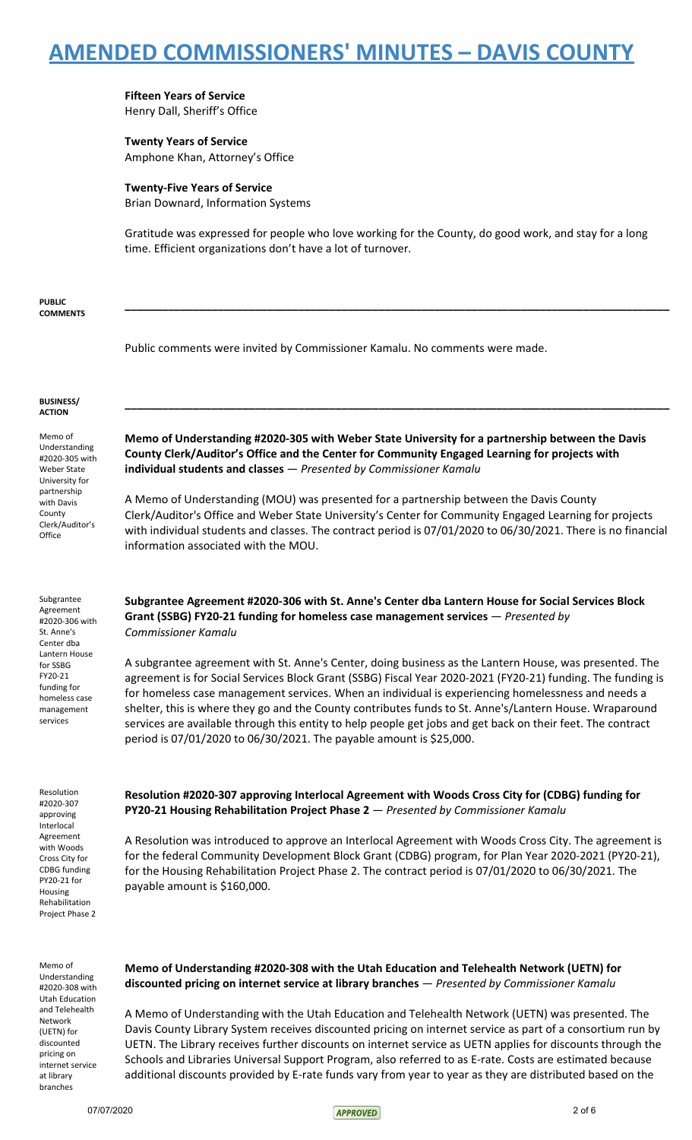**Fifteen Years of Service** Henry Dall, Sheriff's Office

**Twenty Years of Service** Amphone Khan, Attorney's Office

**Twenty-Five Years of Service** Brian Downard, Information Systems

Gratitude was expressed for people who love working for the County, do good work, and stay for a long time. Efficient organizations don't have a lot of turnover.

**\_\_\_\_\_\_\_\_\_\_\_\_\_\_\_\_\_\_\_\_\_\_\_\_\_\_\_\_\_\_\_\_\_\_\_\_\_\_\_\_\_\_\_\_\_\_\_\_\_\_\_\_\_\_\_\_\_\_\_\_\_\_\_\_\_\_\_\_\_\_\_\_\_\_\_\_\_\_\_\_\_\_\_\_\_\_\_\_**

**PUBLIC COMMENTS**

Public comments were invited by Commissioner Kamalu. No comments were made.

#### **BUSINESS/ ACTION**

Memo of Understanding #2020-305 with Weber State University for partnership with Davis County Clerk/Auditor's **Office** 

Subgrantee Agreement #2020-306 with St. Anne's Center dba Lantern House for SSBG FY20-21 funding for homeless case management services

Resolution #2020-307 approving Interlocal Agreement with Woods Cross City for CDBG funding PY20-21 for Housing Rehabilitation Project Phase 2

Memo of Understanding #2020-308 with Utah Education and Telehealth Network (UETN) for discounted pricing on internet service at library branches

**Memo of Understanding #2020-305 with Weber State University for a partnership between the Davis County Clerk/Auditor's Office and the Center for Community Engaged Learning for projects with individual students and classes** — *Presented by Commissioner Kamalu*

**\_\_\_\_\_\_\_\_\_\_\_\_\_\_\_\_\_\_\_\_\_\_\_\_\_\_\_\_\_\_\_\_\_\_\_\_\_\_\_\_\_\_\_\_\_\_\_\_\_\_\_\_\_\_\_\_\_\_\_\_\_\_\_\_\_\_\_\_\_\_\_\_\_\_\_\_\_\_\_\_\_\_\_\_\_\_\_\_**

A Memo of Understanding (MOU) was presented for a partnership between the Davis County Clerk/Auditor's Office and Weber State University's Center for Community Engaged Learning for projects with individual students and classes. The contract period is 07/01/2020 to 06/30/2021. There is no financial information associated with the MOU.

**Subgrantee Agreement #2020-306 with St. Anne's Center dba Lantern House for Social Services Block Grant (SSBG) FY20-21 funding for homeless case management services** — *Presented by Commissioner Kamalu*

A subgrantee agreement with St. Anne's Center, doing business as the Lantern House, was presented. The agreement is for Social Services Block Grant (SSBG) Fiscal Year 2020-2021 (FY20-21) funding. The funding is for homeless case management services. When an individual is experiencing homelessness and needs a shelter, this is where they go and the County contributes funds to St. Anne's/Lantern House. Wraparound services are available through this entity to help people get jobs and get back on their feet. The contract period is 07/01/2020 to 06/30/2021. The payable amount is \$25,000.

**Resolution #2020-307 approving Interlocal Agreement with Woods Cross City for (CDBG) funding for PY20-21 Housing Rehabilitation Project Phase 2** — *Presented by Commissioner Kamalu*

A Resolution was introduced to approve an Interlocal Agreement with Woods Cross City. The agreement is for the federal Community Development Block Grant (CDBG) program, for Plan Year 2020-2021 (PY20-21), for the Housing Rehabilitation Project Phase 2. The contract period is 07/01/2020 to 06/30/2021. The payable amount is \$160,000.

**Memo of Understanding #2020-308 with the Utah Education and Telehealth Network (UETN) for discounted pricing on internet service at library branches** — *Presented by Commissioner Kamalu*

A Memo of Understanding with the Utah Education and Telehealth Network (UETN) was presented. The Davis County Library System receives discounted pricing on internet service as part of a consortium run by UETN. The Library receives further discounts on internet service as UETN applies for discounts through the Schools and Libraries Universal Support Program, also referred to as E-rate. Costs are estimated because additional discounts provided by E-rate funds vary from year to year as they are distributed based on the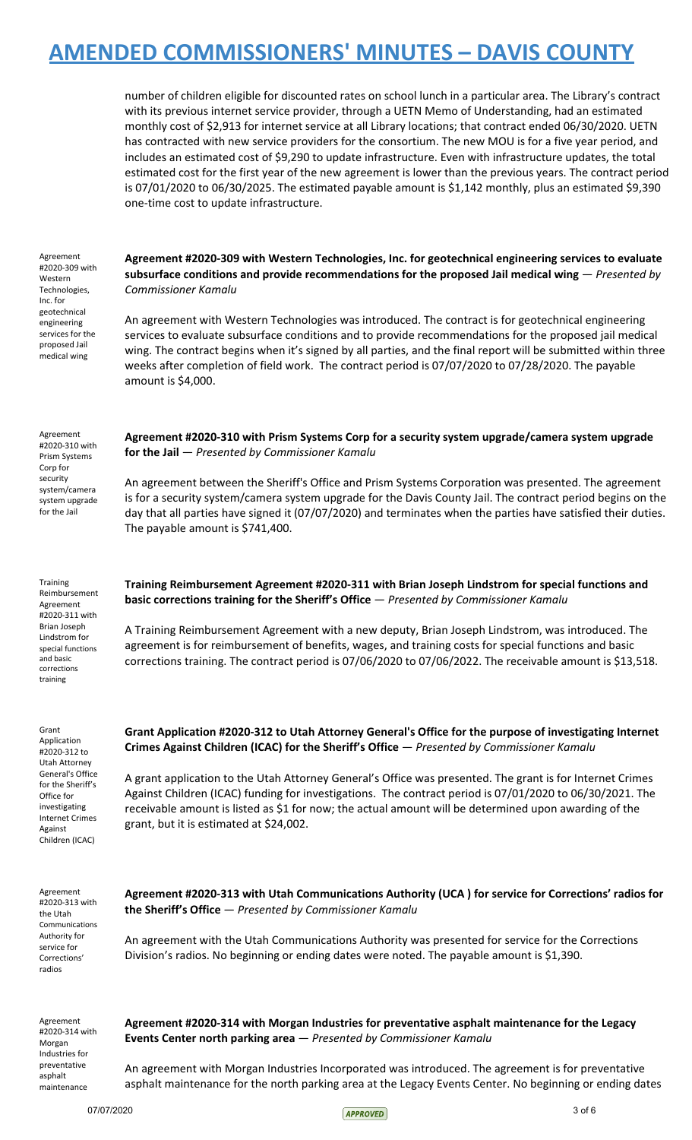number of children eligible for discounted rates on school lunch in a particular area. The Library's contract with its previous internet service provider, through a UETN Memo of Understanding, had an estimated monthly cost of \$2,913 for internet service at all Library locations; that contract ended 06/30/2020. UETN has contracted with new service providers for the consortium. The new MOU is for a five year period, and includes an estimated cost of \$9,290 to update infrastructure. Even with infrastructure updates, the total estimated cost for the first year of the new agreement is lower than the previous years. The contract period is 07/01/2020 to 06/30/2025. The estimated payable amount is \$1,142 monthly, plus an estimated \$9,390 one-time cost to update infrastructure.

Agreement #2020-309 with Western Technologies, Inc. for geotechnical engineering services for the proposed Jail medical wing

**Agreement #2020-309 with Western Technologies, Inc. for geotechnical engineering services to evaluate subsurface conditions and provide recommendations for the proposed Jail medical wing** — *Presented by Commissioner Kamalu*

An agreement with Western Technologies was introduced. The contract is for geotechnical engineering services to evaluate subsurface conditions and to provide recommendations for the proposed jail medical wing. The contract begins when it's signed by all parties, and the final report will be submitted within three weeks after completion of field work. The contract period is 07/07/2020 to 07/28/2020. The payable amount is \$4,000.

**Agreement #2020-310 with Prism Systems Corp for a security system upgrade/camera system upgrade**

An agreement between the Sheriff's Office and Prism Systems Corporation was presented. The agreement is for a security system/camera system upgrade for the Davis County Jail. The contract period begins on the day that all parties have signed it (07/07/2020) and terminates when the parties have satisfied their duties.

**for the Jail** — *Presented by Commissioner Kamalu*

The payable amount is \$741,400.

Agreement #2020-310 with Prism Systems Corp for security system/camera system upgrade for the Jail

**Training** Reimbursement Agreement #2020-311 with Brian Joseph Lindstrom for special functions and basic corrections training

Grant Application #2020-312 to Utah Attorney General's Office for the Sheriff's Office for investigating Internet Crimes Against Children (ICAC)

**Training Reimbursement Agreement #2020-311 with Brian Joseph Lindstrom for special functions and basic corrections training for the Sheriff's Office** — *Presented by Commissioner Kamalu*

A Training Reimbursement Agreement with a new deputy, Brian Joseph Lindstrom, was introduced. The agreement is for reimbursement of benefits, wages, and training costs for special functions and basic corrections training. The contract period is 07/06/2020 to 07/06/2022. The receivable amount is \$13,518.

**Grant Application #2020-312 to Utah Attorney General's Office for the purpose of investigating Internet Crimes Against Children (ICAC) for the Sheriff's Office** — *Presented by Commissioner Kamalu*

A grant application to the Utah Attorney General's Office was presented. The grant is for Internet Crimes Against Children (ICAC) funding for investigations. The contract period is 07/01/2020 to 06/30/2021. The receivable amount is listed as \$1 for now; the actual amount will be determined upon awarding of the grant, but it is estimated at \$24,002.

Agreement #2020-313 with the Utah Communications Authority for service for Corrections' radios

**Agreement #2020-313 with Utah Communications Authority (UCA ) for service for Corrections' radios for the Sheriff's Office** — *Presented by Commissioner Kamalu*

An agreement with the Utah Communications Authority was presented for service for the Corrections Division's radios. No beginning or ending dates were noted. The payable amount is \$1,390.

Agreement #2020-314 with Morgan Industries for preventative asphalt maintenance

**Agreement #2020-314 with Morgan Industries for preventative asphalt maintenance for the Legacy Events Center north parking area** — *Presented by Commissioner Kamalu*

An agreement with Morgan Industries Incorporated was introduced. The agreement is for preventative asphalt maintenance for the north parking area at the Legacy Events Center. No beginning or ending dates

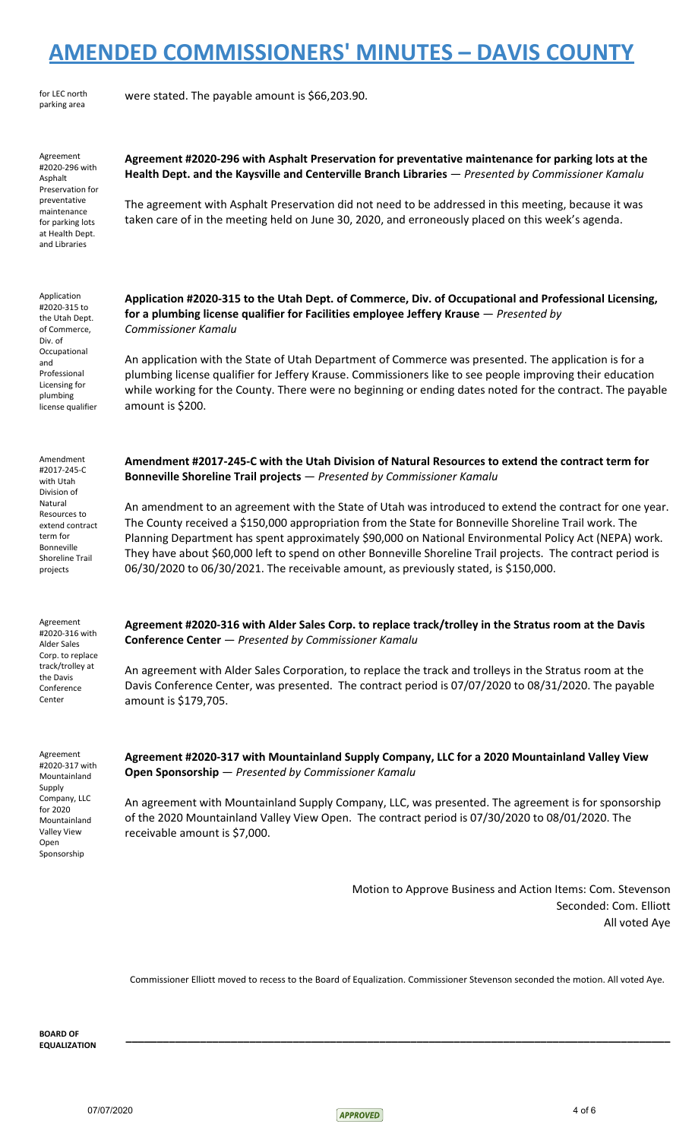| for LEC north |
|---------------|
| parking area  |

were stated. The payable amount is \$66,203.90.

Agreement #2020-296 with Asphalt Preservation for preventative maintenance for parking lots at Health Dept. and Libraries

Application #2020-315 to the Utah Dept. of Commerce, Div. of Occupational and Professional Licensing for plumbing license qualifier

Amendment #2017-245-C with Utah Division of Natural Resources to extend contract term for Bonneville Shoreline Trail projects

Agreement #2020-316 with Alder Sales Corp. to replace track/trolley at the Davis Conference Center

Agreement #2020-317 with Mountainland **Supply** Company, LLC for 2020 Mountainland Valley View Open Sponsorship

### **Agreement #2020-296 with Asphalt Preservation for preventative maintenance for parking lots at the Health Dept. and the Kaysville and Centerville Branch Libraries** — *Presented by Commissioner Kamalu*

The agreement with Asphalt Preservation did not need to be addressed in this meeting, because it was taken care of in the meeting held on June 30, 2020, and erroneously placed on this week's agenda.

**Application #2020-315 to the Utah Dept. of Commerce, Div. of Occupational and Professional Licensing, for a plumbing license qualifier for Facilities employee Jeffery Krause** — *Presented by Commissioner Kamalu*

An application with the State of Utah Department of Commerce was presented. The application is for a plumbing license qualifier for Jeffery Krause. Commissioners like to see people improving their education while working for the County. There were no beginning or ending dates noted for the contract. The payable amount is \$200.

**Amendment #2017-245-C with the Utah Division of Natural Resources to extend the contract term for Bonneville Shoreline Trail projects** — *Presented by Commissioner Kamalu*

An amendment to an agreement with the State of Utah was introduced to extend the contract for one year. The County received a \$150,000 appropriation from the State for Bonneville Shoreline Trail work. The Planning Department has spent approximately \$90,000 on National Environmental Policy Act (NEPA) work. They have about \$60,000 left to spend on other Bonneville Shoreline Trail projects. The contract period is 06/30/2020 to 06/30/2021. The receivable amount, as previously stated, is \$150,000.

**Agreement #2020-316 with Alder Sales Corp. to replace track/trolley in the Stratus room at the Davis Conference Center** — *Presented by Commissioner Kamalu*

An agreement with Alder Sales Corporation, to replace the track and trolleys in the Stratus room at the Davis Conference Center, was presented. The contract period is 07/07/2020 to 08/31/2020. The payable amount is \$179,705.

**Agreement #2020-317 with Mountainland Supply Company, LLC for a 2020 Mountainland Valley View Open Sponsorship** — *Presented by Commissioner Kamalu*

An agreement with Mountainland Supply Company, LLC, was presented. The agreement is for sponsorship of the 2020 Mountainland Valley View Open. The contract period is 07/30/2020 to 08/01/2020. The receivable amount is \$7,000.

> Motion to Approve Business and Action Items: Com. Stevenson Seconded: Com. Elliott All voted Aye

Commissioner Elliott moved to recess to the Board of Equalization. Commissioner Stevenson seconded the motion. All voted Aye.

**\_\_\_\_\_\_\_\_\_\_\_\_\_\_\_\_\_\_\_\_\_\_\_\_\_\_\_\_\_\_\_\_\_\_\_\_\_\_\_\_\_\_\_\_\_\_\_\_\_\_\_\_\_\_\_\_\_\_\_\_\_\_\_\_\_\_\_\_\_\_\_\_\_\_\_\_\_\_\_\_\_\_\_\_\_\_\_\_**

**BOARD OF EQUALIZATION**

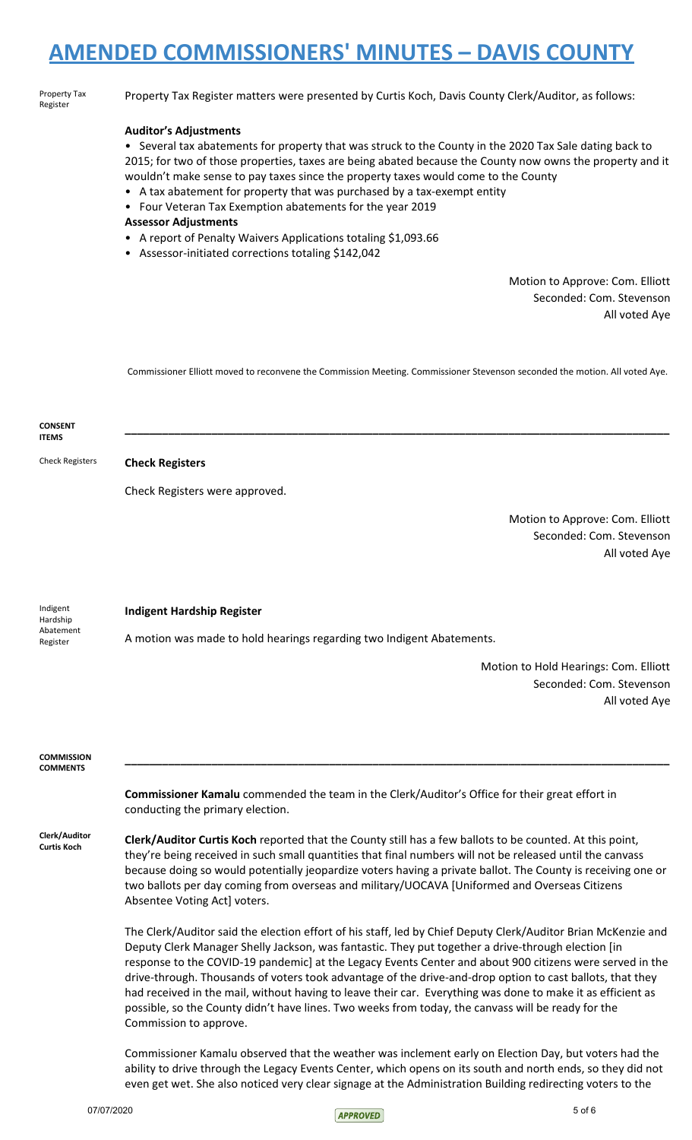| Property Tax<br>Register             | Property Tax Register matters were presented by Curtis Koch, Davis County Clerk/Auditor, as follows:                                                                                                                                                                                                                                                                                                                                                                                                                                                                                                                                                                                        |
|--------------------------------------|---------------------------------------------------------------------------------------------------------------------------------------------------------------------------------------------------------------------------------------------------------------------------------------------------------------------------------------------------------------------------------------------------------------------------------------------------------------------------------------------------------------------------------------------------------------------------------------------------------------------------------------------------------------------------------------------|
|                                      | <b>Auditor's Adjustments</b><br>• Several tax abatements for property that was struck to the County in the 2020 Tax Sale dating back to<br>2015; for two of those properties, taxes are being abated because the County now owns the property and it<br>wouldn't make sense to pay taxes since the property taxes would come to the County<br>• A tax abatement for property that was purchased by a tax-exempt entity<br>• Four Veteran Tax Exemption abatements for the year 2019<br><b>Assessor Adjustments</b><br>• A report of Penalty Waivers Applications totaling \$1,093.66<br>• Assessor-initiated corrections totaling \$142,042                                                 |
|                                      | Motion to Approve: Com. Elliott<br>Seconded: Com. Stevenson<br>All voted Aye                                                                                                                                                                                                                                                                                                                                                                                                                                                                                                                                                                                                                |
|                                      | Commissioner Elliott moved to reconvene the Commission Meeting. Commissioner Stevenson seconded the motion. All voted Aye.                                                                                                                                                                                                                                                                                                                                                                                                                                                                                                                                                                  |
| <b>CONSENT</b><br><b>ITEMS</b>       |                                                                                                                                                                                                                                                                                                                                                                                                                                                                                                                                                                                                                                                                                             |
| <b>Check Registers</b>               | <b>Check Registers</b>                                                                                                                                                                                                                                                                                                                                                                                                                                                                                                                                                                                                                                                                      |
|                                      | Check Registers were approved.                                                                                                                                                                                                                                                                                                                                                                                                                                                                                                                                                                                                                                                              |
|                                      | Motion to Approve: Com. Elliott<br>Seconded: Com. Stevenson<br>All voted Aye                                                                                                                                                                                                                                                                                                                                                                                                                                                                                                                                                                                                                |
| Indigent<br>Hardship<br>Abatement    | <b>Indigent Hardship Register</b><br>A motion was made to hold hearings regarding two Indigent Abatements.                                                                                                                                                                                                                                                                                                                                                                                                                                                                                                                                                                                  |
| Register                             | Motion to Hold Hearings: Com. Elliott<br>Seconded: Com. Stevenson<br>All voted Aye                                                                                                                                                                                                                                                                                                                                                                                                                                                                                                                                                                                                          |
| <b>COMMISSION</b><br><b>COMMENTS</b> |                                                                                                                                                                                                                                                                                                                                                                                                                                                                                                                                                                                                                                                                                             |
|                                      | <b>Commissioner Kamalu</b> commended the team in the Clerk/Auditor's Office for their great effort in<br>conducting the primary election.                                                                                                                                                                                                                                                                                                                                                                                                                                                                                                                                                   |
| Clerk/Auditor<br><b>Curtis Koch</b>  | Clerk/Auditor Curtis Koch reported that the County still has a few ballots to be counted. At this point,<br>they're being received in such small quantities that final numbers will not be released until the canvass<br>because doing so would potentially jeopardize voters having a private ballot. The County is receiving one or<br>two ballots per day coming from overseas and military/UOCAVA [Uniformed and Overseas Citizens<br>Absentee Voting Act] voters.                                                                                                                                                                                                                      |
|                                      | The Clerk/Auditor said the election effort of his staff, led by Chief Deputy Clerk/Auditor Brian McKenzie and<br>Deputy Clerk Manager Shelly Jackson, was fantastic. They put together a drive-through election [in<br>response to the COVID-19 pandemic] at the Legacy Events Center and about 900 citizens were served in the<br>drive-through. Thousands of voters took advantage of the drive-and-drop option to cast ballots, that they<br>had received in the mail, without having to leave their car. Everything was done to make it as efficient as<br>possible, so the County didn't have lines. Two weeks from today, the canvass will be ready for the<br>Commission to approve. |
|                                      | Commissioner Kamalu observed that the weather was inclement early on Election Day, but voters had the<br>ability to drive through the Legacy Events Center, which opens on its south and north ends, so they did not                                                                                                                                                                                                                                                                                                                                                                                                                                                                        |



even get wet. She also noticed very clear signage at the Administration Building redirecting voters to the